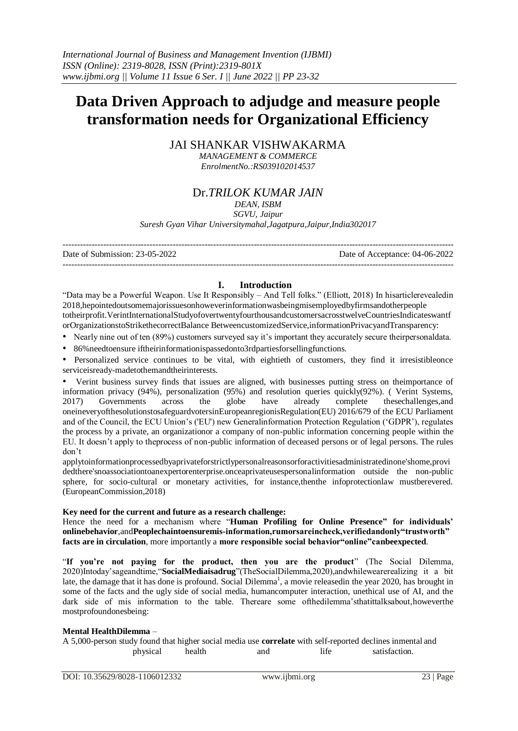# **Data Driven Approach to adjudge and measure people transformation needs for Organizational Efficiency**

JAI SHANKAR VISHWAKARMA

*MANAGEMENT & COMMERCE EnrolmentNo.:RS039102014537*

# Dr.*TRILOK KUMAR JAIN*

## *DEAN, ISBM*

*SGVU, Jaipur Suresh Gyan Vihar Universitymahal,Jagatpura,Jaipur,India302017*

--------------------------------------------------------------------------------------------------------------------------------------- Date of Submission: 23-05-2022 Date of Acceptance: 04-06-2022 ---------------------------------------------------------------------------------------------------------------------------------------

#### **I. Introduction**

"Data may be a Powerful Weapon. Use It Responsibly – And Tell folks." (Elliott, 2018) In hisarticlerevealedin 2018,hepointedoutsomemajorissuesonhoweverinformationwasbeingmisemployedbyfirmsandotherpeople totheirprofit.VerintInternationalStudyofovertwentyfourthousandcustomersacrosstwelveCountriesIndicateswantf orOrganizationstoStrikethecorrectBalance BetweencustomizedService,informationPrivacyandTransparency:

- Nearly nine out of ten (89%) customers surveyed say it's important they accurately secure theirpersonaldata.
- 86%needtoensure iftheirinformationispassedonto3rdpartiesforsellingfunctions.

• Personalized service continues to be vital, with eightieth of customers, they find it irresistible once serviceisready-madetothemandtheirinterests.

• Verint business survey finds that issues are aligned, with businesses putting stress on theimportance of information privacy (94%), personalization (95%) and resolution queries quickly(92%). (Verint Systems, 2017) Governments across the globe have already complete these challenges, and 2017) Governments across the globe have already complete thesechallenges,and oneineveryofthesolutionstosafeguardvotersinEuropeanregionisRegulation(EU) 2016/679 of the ECU Parliament and of the Council, the ECU Union's ('EU') new Generalinformation Protection Regulation ('GDPR'), regulates the process by a private, an organizationor a company of non-public information concerning people within the EU. It doesn't apply to theprocess of non-public information of deceased persons or of legal persons. The rules don't

applytoinformationprocessedbyaprivateforstrictlypersonalreasonsorforactivitiesadministratedinone'shome,provi dedthere'snoassociationtoanexpertorenterprise.onceaprivateusespersonalinformation outside the non-public sphere, for socio-cultural or monetary activities, for instance,thenthe infoprotectionlaw mustberevered. (EuropeanCommission,2018)

#### **Key need for the current and future as a research challenge:**

Hence the need for a mechanism where "**Human Profiling for Online Presence" for individuals' onlinebehavior**,and**Peoplechaintoensuremis-information,rumorsareincheck,verifiedandonly"trustworth" facts are in circulation**, more importantly a **more responsible social behavior"online"canbeexpected**.

"**If you're not paying for the product, then you are the product**" (The Social Dilemma, 2020)Intoday'sageandtime,"**SocialMediaisadrug**"(TheSocialDilemma,2020),andwhilewearerealizing it a bit late, the damage that it has done is profound. Social Dilemma<sup>1</sup>, a movie releasedin the year 2020, has brought in some of the facts and the ugly side of social media, humancomputer interaction, unethical use of AI, and the dark side of mis information to the table. Thereare some ofthedilemma'sthatittalksabout,howeverthe mostprofoundonesbeing:

#### **Mental HealthDilemma** –

A 5,000-person study found that higher social media use **correlate** with self-reported declines inmental and physical health and life satisfaction.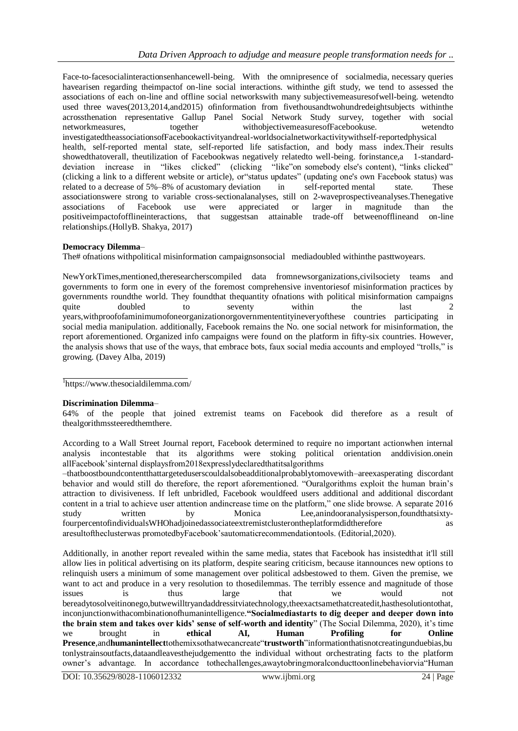Face-to-facesocialinteractionsenhancewell-being. With the omnipresence of socialmedia, necessary queries havearisen regarding theimpactof on-line social interactions. withinthe gift study, we tend to assessed the associations of each on-line and offline social networkswith many subjectivemeasuresofwell-being. wetendto used three waves(2013,2014,and2015) ofinformation from fivethousandtwohundredeightsubjects withinthe acrossthenation representative Gallup Panel Social Network Study survey, together with social networkmeasures, together withobjectivemeasuresofFacebookuse. wetendto investigatedtheassociationsofFacebookactivityandreal-worldsocialnetworkactivitywithself-reportedphysical health, self-reported mental state, self-reported life satisfaction, and body mass index.Their results showedthatoverall, theutilization of Facebookwas negatively relatedto well-being. forinstance,a 1-standarddeviation increase in "likes clicked" (clicking "like"on somebody else's content), "links clicked" (clicking a link to a different website or article), or status updates" (updating one's own Facebook status) was related to a decrease of 5%–8% of acustomary deviation in self-reported mental state. These related to a decrease of 5%–8% of acustomary deviation in self-reported mental state. These associationswere strong to variable cross-sectionalanalyses, still on 2-waveprospectiveanalyses. Thenegative associations of Facebook use were appreciated or larger in magnitude than the associations of Facebook use were appreciated or larger in magnitude than the positiveimpactofofflineinteractions, that suggestsan attainable trade-off betweenofflineand on-line relationships.(HollyB. Shakya, 2017)

#### **Democracy Dilemma**–

The# ofnations withpolitical misinformation campaignsonsocial mediadoubled withinthe pasttwoyears.

NewYorkTimes,mentioned,theresearcherscompiled data fromnewsorganizations,civilsociety teams and governments to form one in every of the foremost comprehensive inventoriesof misinformation practices by governments roundthe world. They foundthat thequantity ofnations with political misinformation campaigns quite doubled to seventy within the last 2 years,withproofofaminimumofoneorganizationorgovernmententityineveryofthese countries participating in social media manipulation. additionally, Facebook remains the No. one social network for misinformation, the report aforementioned. Organized info campaigns were found on the platform in fifty-six countries. However, the analysis shows that use of the ways, that embrace bots, faux social media accounts and employed "trolls," is growing. (Davey Alba, 2019)

1 https:/[/www.thesocialdilemma.com/](http://www.thesocialdilemma.com/)

#### **Discrimination Dilemma**–

64% of the people that joined extremist teams on Facebook did therefore as a result of thealgorithmssteeredthemthere.

According to a Wall Street Journal report, Facebook determined to require no important actionwhen internal analysis incontestable that its algorithms were stoking political orientation anddivision.onein allFacebook'sinternal displaysfrom2018expresslydeclaredthatitsalgorithms

–thatboostboundcontentthattargeteduserscouldalsobeadditionalprobablytomovewith–areexasperating discordant behavior and would still do therefore, the report aforementioned. "Ouralgorithms exploit the human brain's attraction to divisiveness. If left unbridled, Facebook wouldfeed users additional and additional discordant content in a trial to achieve user attention andincrease time on the platform," one slide browse. A separate 2016 study written by Monica Lee,anindooranalysisperson,foundthatsixtyfourpercentofindividualsWHOhadjoinedassociateextremistclusterontheplatformdidtherefore as aresultoftheclusterwas promotedbyFacebook'sautomaticrecommendationtools. (Editorial,2020).

Additionally, in another report revealed within the same media, states that Facebook has insistedthat it'll still allow lies in political advertising on its platform, despite searing criticism, because itannounces new options to relinquish users a minimum of some management over political adsbestowed to them. Given the premise, we want to act and produce in a very resolution to thosedilemmas. The terribly essence and magnitude of those issues is thus large that we would not bereadytosolveitinonego,butwewilltryandaddressitviatechnology,theexactsamethatcreatedit,hasthesolutiontothat, inconjunctionwithacombinationofhumanintelligence.**"Socialmediastarts to dig deeper and deeper down into the brain stem and takes over kids' sense of self-worth and identity**" (The Social Dilemma, 2020), it's time we brought in **ethical AI, Human Profiling for Online Presence**,and**humanintellect**tothemixsothatwecancreate"**trustworth**"informationthatisnotcreatingunduebias,bu tonlystrainsoutfacts,dataandleavesthejudgementto the individual without orchestrating facts to the platform owner's advantage. In accordance tothechallenges,awaytobringmoralconducttoonlinebehaviorvia"Human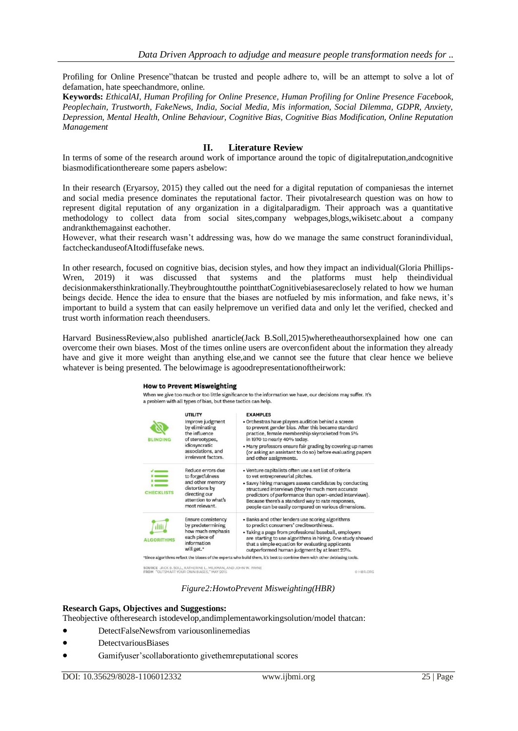Profiling for Online Presence"thatcan be trusted and people adhere to, will be an attempt to solve a lot of defamation, hate speechandmore, online.

**Keywords:** *EthicalAI, Human Profiling for Online Presence, Human Profiling for Online Presence Facebook, Peoplechain, Trustworth, FakeNews, India, Social Media, Mis information, Social Dilemma, GDPR, Anxiety, Depression, Mental Health, Online Behaviour, Cognitive Bias, Cognitive Bias Modification, Online Reputation Management*

#### **II. Literature Review**

In terms of some of the research around work of importance around the topic of digitalreputation,andcognitive biasmodificationthereare some papers asbelow:

In their research (Eryarsoy, 2015) they called out the need for a digital reputation of companiesas the internet and social media presence dominates the reputational factor. Their pivotalresearch question was on how to represent digital reputation of any organization in a digitalparadigm. Their approach was a quantitative methodology to collect data from social sites,company webpages,blogs,wikisetc.about a company andrankthemagainst eachother.

However, what their research wasn't addressing was, how do we manage the same construct foranindividual, factcheckanduseofAItodiffusefake news.

In other research, focused on cognitive bias, decision styles, and how they impact an individual(Gloria Phillips-Wren, 2019) it was discussed that systems and the platforms must help theindividual decisionmakersthinkrationally.Theybroughtoutthe pointthatCognitivebiasesareclosely related to how we human beings decide. Hence the idea to ensure that the biases are notfueled by mis information, and fake news, it's important to build a system that can easily helpremove un verified data and only let the verified, checked and trust worth information reach theendusers.

Harvard BusinessReview,also published anarticle(Jack B.Soll,2015)wheretheauthorsexplained how one can overcome their own biases. Most of the times online users are overconfident about the information they already have and give it more weight than anything else,and we cannot see the future that clear hence we believe whatever is being presented. The belowimage is agoodrepresentationoftheirwork:

#### **How to Prevent Misweighting**

When we give too much or too little significance to the information we have, our decisions may suffer. It's a problem with all types of bias, but these tactics can help.

| UTILITY                   | <b>EXAMPLES</b>                                            |  |  |
|---------------------------|------------------------------------------------------------|--|--|
| Improve judgment          | • Orchestras have players audition behind a screen         |  |  |
| by eliminating            | to prevent gender bias. After this became standard         |  |  |
| the influence             | practice, female membership skyrocketed from 5%            |  |  |
| of stereotypes,           | in 1970 to nearly 40% today.                               |  |  |
| idiosyncratic             | . Many professors ensure fair grading by covering up names |  |  |
| associations, and         | (or asking an assistant to do so) before evaluating papers |  |  |
| irrelevant factors.       | and other assignments.                                     |  |  |
| Reduce errors due         | • Venture capitalists often use a set list of criteria     |  |  |
| to forgetfulness          | to vet entrepreneurial pitches.                            |  |  |
| and other memory          | • Savvy hiring managers assess candidates by conducting    |  |  |
| distortions by            | structured interviews (they're much more accurate          |  |  |
| directing our             | predictors of performance than open-ended interviews).     |  |  |
| attention to what's       | Because there's a standard way to rate responses,          |  |  |
| most relevant.            | people can be easily compared on various dimensions.       |  |  |
| <b>Ensure consistency</b> | · Banks and other lenders use scoring algorithms           |  |  |
| by predetermining         | to predict consumers' creditworthiness.                    |  |  |
| how much emphasis         | • Taking a page from professional baseball, employers      |  |  |
| each piece of             | are starting to use algorithms in hiring. One study showed |  |  |
| information               | that a simple equation for evaluating applicants           |  |  |
| will get."                | outperformed human judgment by at least 25%.               |  |  |
|                           |                                                            |  |  |

SOURCE JACK B. SOLL, KATHERINE L. MILKMAN, AND JOHN W. PAYNE

C HBR.ORG

## *Figure2:HowtoPrevent Misweighting(HBR)*

#### **Research Gaps, Objectives and Suggestions:**

Theobjective oftheresearch istodevelop,andimplementaworkingsolution/model thatcan:

- DetectFalseNewsfrom variousonlinemedias
- DetectvariousBiases
- Gamifyuser'scollaborationto givethemreputational scores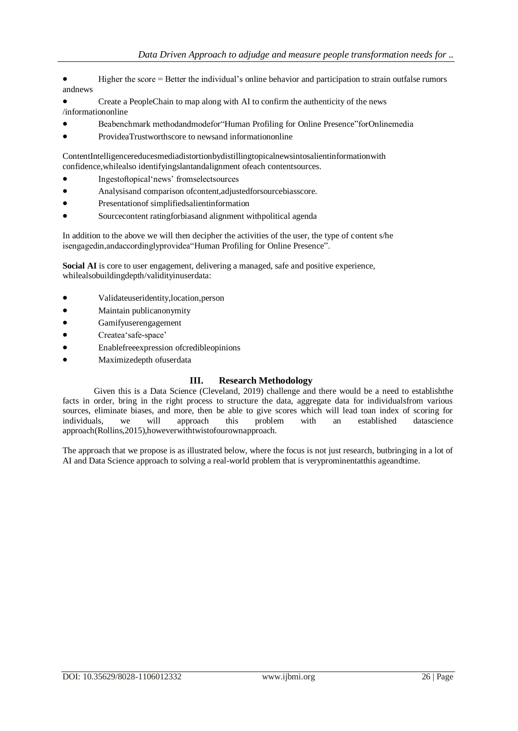- Higher the score = Better the individual's online behavior and participation to strain outfalse rumors andnews
- Create a PeopleChain to map along with AI to confirm the authenticity of the news /informationonline
- Beabenchmark methodandmodefor"Human Profiling for Online Presence"forOnlinemedia
- ProvideaTrustworthscore to newsand informationonline

ContentIntelligencereducesmediadistortionbydistillingtopicalnewsintosalientinformationwith confidence,whilealso identifyingslantandalignment ofeach contentsources.

- Ingestoftopical'news' fromselectsources
- Analysisand comparison ofcontent,adjustedforsourcebiasscore.
- Presentationof simplifiedsalientinformation
- Sourcecontent ratingforbiasand alignment withpolitical agenda

In addition to the above we will then decipher the activities of the user, the type of content s/he isengagedin,andaccordinglyprovidea"Human Profiling for Online Presence".

**Social AI** is core to user engagement, delivering a managed, safe and positive experience, whilealsobuildingdepth/validityinuserdata:

- Validateuseridentity,location,person
- Maintain publicanonymity
- Gamifyuserengagement
- Createa'safe-space'
- Enablefreeexpression ofcredibleopinions
- Maximizedepth ofuserdata

#### **III. Research Methodology**

Given this is a Data Science (Cleveland, 2019) challenge and there would be a need to establishthe facts in order, bring in the right process to structure the data, aggregate data for individualsfrom various sources, eliminate biases, and more, then be able to give scores which will lead toan index of scoring for individuals, we will approach this problem with an established datascience approach(Rollins,2015),howeverwithtwistofourownapproach.

The approach that we propose is as illustrated below, where the focus is not just research, butbringing in a lot of AI and Data Science approach to solving a real-world problem that is veryprominentatthis ageandtime.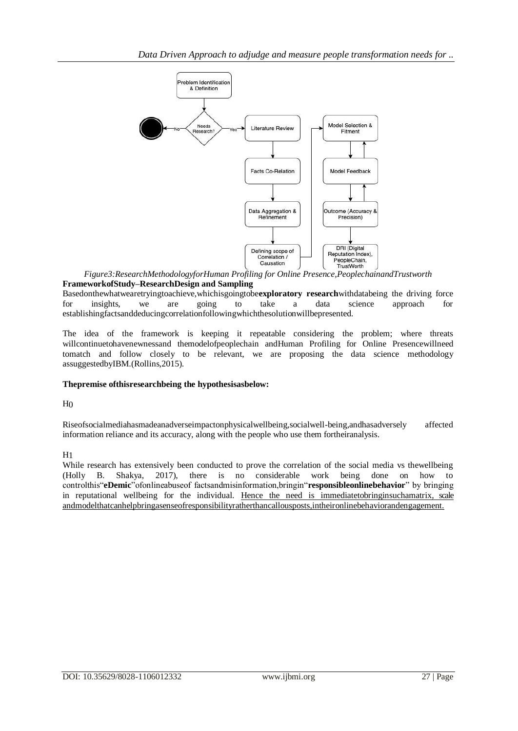

*Figure3:ResearchMethodologyforHuman Profiling for Online Presence,PeoplechainandTrustworth* **FrameworkofStudy–ResearchDesign and Sampling**

Basedonthewhatwearetryingtoachieve,whichisgoingtobe**exploratory research**withdatabeing the driving force for insights, we are going to take a data science approach for establishingfactsanddeducingcorrelationfollowingwhichthesolutionwillbepresented.

The idea of the framework is keeping it repeatable considering the problem; where threats willcontinuetohavenewnessand themodelofpeoplechain andHuman Profiling for Online Presencewillneed tomatch and follow closely to be relevant, we are proposing the data science methodology assuggestedbyIBM.(Rollins,2015).

#### **Thepremise ofthisresearchbeing the hypothesisasbelow:**

 $H<sub>0</sub>$ 

Riseofsocialmediahasmadeanadverseimpactonphysicalwellbeing,socialwell-being,andhasadversely affected information reliance and its accuracy, along with the people who use them fortheiranalysis.

#### $H<sub>1</sub>$

While research has extensively been conducted to prove the correlation of the social media vs thewellbeing (Holly B. Shakya, 2017), there is no considerable work being done on how to controlthis"**eDemic**"ofonlineabuseof factsandmisinformation,bringin"**responsibleonlinebehavior**" by bringing in reputational wellbeing for the individual. Hence the need is immediatetobringinsuchamatrix, scale andmodelthatcanhelpbringasenseofresponsibilityratherthancallousposts,intheironlinebehaviorandengagement.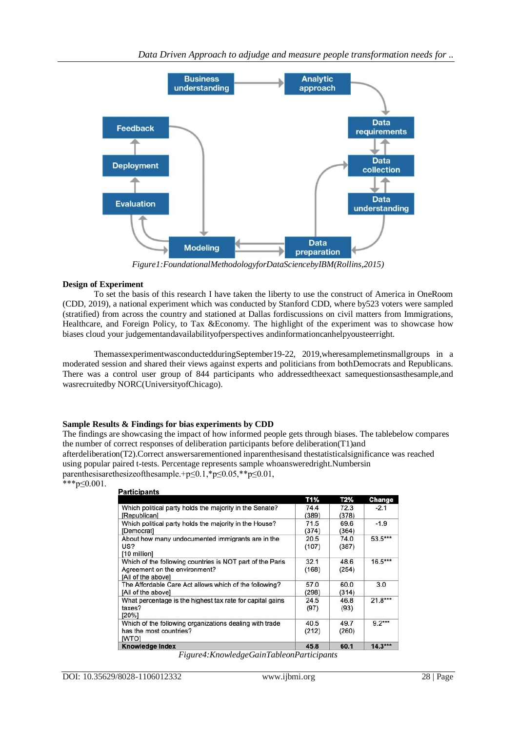

*Figure1:FoundationalMethodologyforDataSciencebyIBM(Rollins,2015)*

#### **Design of Experiment**

To set the basis of this research I have taken the liberty to use the construct of America in OneRoom (CDD, 2019), a national experiment which was conducted by Stanford CDD, where by523 voters were sampled (stratified) from across the country and stationed at Dallas fordiscussions on civil matters from Immigrations, Healthcare, and Foreign Policy, to Tax &Economy. The highlight of the experiment was to showcase how biases cloud your judgementandavailabilityofperspectives andinformationcanhelpyousteerright.

ThemassexperimentwasconductedduringSeptember19-22, 2019,wheresamplemetinsmallgroups in a moderated session and shared their views against experts and politicians from bothDemocrats and Republicans. There was a control user group of 844 participants who addressedtheexact samequestionsasthesample,and wasrecruitedby NORC(UniversityofChicago).

#### **Sample Results & Findings for bias experiments by CDD**

The findings are showcasing the impact of how informed people gets through biases. The tablebelow compares the number of correct responses of deliberation participants before deliberation(T1)and afterdeliberation(T2).Correct answersarementioned inparenthesisand thestatisticalsignificance was reached using popular paired t-tests. Percentage represents sample whoansweredright.Numbersin parenthesisarethesizeofthesample.+p≤0.1,\*p≤0.05,\*\*p≤0.01, \*\*\*p≤0.001.

#### **Participants**

|                                                                                                                  | T1%           | T2%           | Change    |
|------------------------------------------------------------------------------------------------------------------|---------------|---------------|-----------|
| Which political party holds the majority in the Senate?<br>[Republican]                                          | 74.4<br>(389) | 72.3<br>(378) | $-2.1$    |
| Which political party holds the majority in the House?<br>[Democrat]                                             | 71.5<br>(374) | 69.6<br>(364) | $-1.9$    |
| About how many undocumented immigrants are in the<br>US?<br>[10 million]                                         | 20.5<br>(107) | 74.0<br>(387) | 53.5***   |
| Which of the following countries is NOT part of the Paris<br>Agreement on the environment?<br>[All of the above] | 32.1<br>(168) | 48.6<br>(254) | $16.5***$ |
| The Affordable Care Act allows which of the following?<br>[All of the above]                                     | 57.0<br>(298) | 60.0<br>(314) | 3.0       |
| What percentage is the highest tax rate for capital gains<br>taxes?<br>[20%]                                     | 24.5<br>(97)  | 46.8<br>(93)  | $21.8***$ |
| Which of the following organizations dealing with trade<br>has the most countries?<br><b>IWTOI</b>               | 40.5<br>(212) | 49.7<br>(260) | $9.2***$  |
| <b>Knowledge Index</b>                                                                                           | 45.8          | 60.1          | $14.3***$ |

*Figure4:KnowledgeGainTableonParticipants*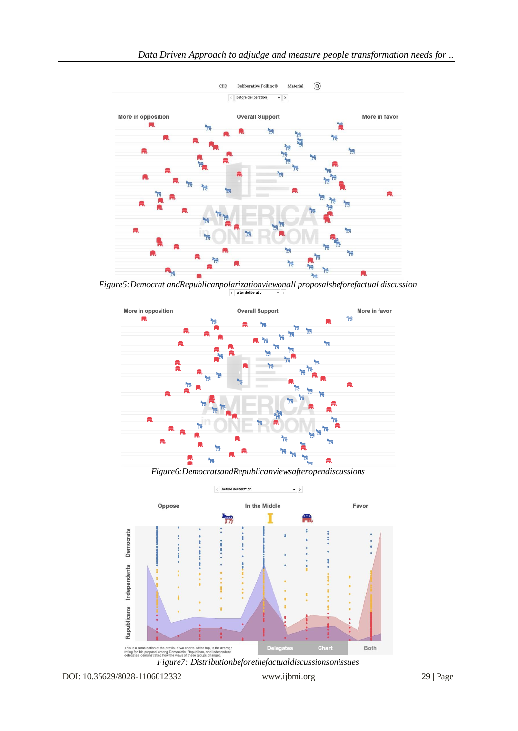

*Figure5:Democrat andRepublicanpolarizationviewonall proposalsbeforefactual discussion*



*Figure6:DemocratsandRepublicanviewsafteropendiscussions*

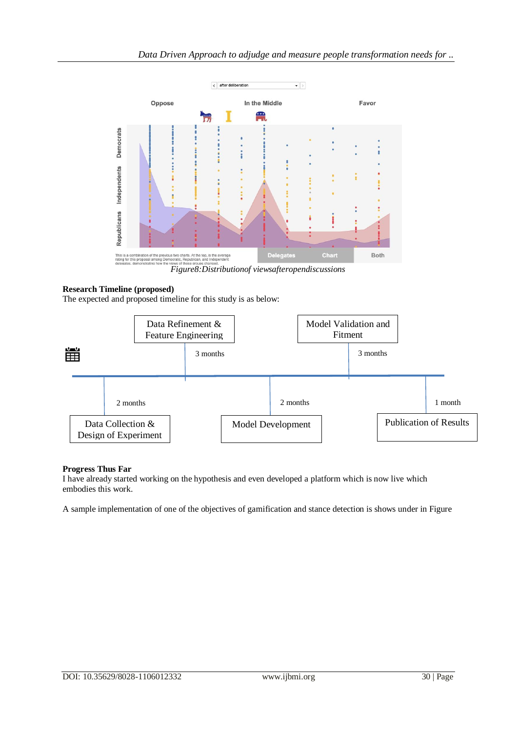

#### **Research Timeline (proposed)**

The expected and proposed timeline for this study is as below:



## **Progress Thus Far**

I have already started working on the hypothesis and even developed a platform which is now live which embodies this work.

A sample implementation of one of the objectives of gamification and stance detection is shows under in Figure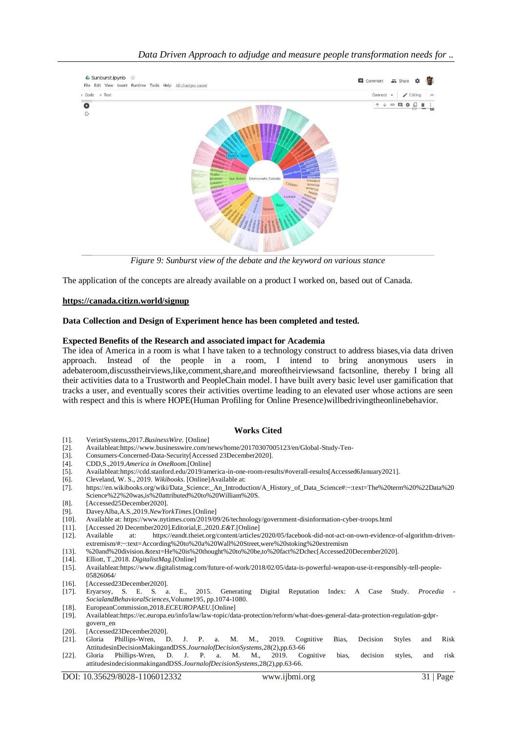

*Figure 9: Sunburst view of the debate and the keyword on various stance*

The application of the concepts are already available on a product I worked on, based out of Canada.

## **<https://canada.citizn.world/signup>**

## **Data Collection and Design of Experiment hence has been completed and tested.**

#### **Expected Benefits of the Research and associated impact for Academia**

The idea of America in a room is what I have taken to a technology construct to address biases,via data driven approach. Instead of the people in a room, I intend to bring anonymous users in adebateroom,discusstheirviews,like,comment,share,and moreoftheirviewsand factsonline, thereby I bring all their activities data to a Trustworth and PeopleChain model. I have built avery basic level user gamification that tracks a user, and eventually scores their activities overtime leading to an elevated user whose actions are seen with respect and this is where HOPE(Human Profiling for Online Presence)willbedrivingtheonlinebehavior.

## **Works Cited**

- [1]. VerintSystems,2017.*BusinessWire.* [Online]
- [2]. Availableat:https:[//www.businesswire.com/news/home/20170307005123/en/Global-Study-Ten-](http://www.businesswire.com/news/home/20170307005123/en/Global-Study-Ten-)
- [3]. Consumers-Concerned-Data-Security[Accessed 23December2020].
- [4]. CDD,S.,2019.*America in OneRoom.*[Online]
- [5]. Availableat:https://cdd.stanford.edu/2019/america-in-one-room-results/#overall-results[Accessed6January2021]. [6]. Cleveland, W. S., 2019. Wikibooks. [Online]Available at:
- [6]. Cleveland, W. S., 2019. *Wikibooks*. [Online]Available at: [7]. https://en.wikibooks.org/wiki/Data\_Science:\_An\_Introduc
- [7]. https://en.wikibooks.org/wiki/Data\_Science:\_An\_Introduction/A\_History\_of\_Data\_Science#:~:text=The%20term%20%22Data%20 Science%22%20was,is%20attributed%20to%20William%20S.
- [8]. [Accessed25December2020].
- [9]. DaveyAlba,A.S.,2019.*NewYorkTimes.*[Online]
- [10]. Available at: https:[//www.nytimes.com/2019/09/26/technology/government-disinformation-c](http://www.nytimes.com/2019/09/26/technology/government-disinformation-)yber-troops.html
- [11]. [Accessed 20 December2020].Editorial,E.,2020.*E&T.*[Online]
- [12]. Available at: https://eandt.theiet.org/content/articles/2020/05/facebook-did-not-act-on-own-evidence-of-algorithm-drivenextremism/#:~:text=According%20to%20a%20Wall%20Street,were%20stoking%20extremism
- [13]. %20and%20division.&text=He%20is%20thought%20to%20be,to%20fact%2Dchec[Accessed20December2020].
- [14]. Elliott, T.,2018. *DigitalistMag.*[Online]
- [15]. Availableat:https:[//www.digitalistmag.com/future-of-work/2018/02/05/data-is-powerful-w](http://www.digitalistmag.com/future-of-work/2018/02/05/data-is-powerful-)eapon-use-it-responsibly-tell-people-05826064/
- [16]. [Accessed23December2020].
- [17]. Eryarsoy, S. E. S. a. E., 2015. Generating Digital Reputation Index: A Case Study. *Procedia - SocialandBehavioralSciences,*Volume195, pp.1074-1080.
- [18]. EuropeanCommission,2018.*ECEUROPAEU.*[Online]
- [19]. Availableat:https://ec.europa.eu/info/law/law-topic/data-protection/reform/what-does-general-data-protection-regulation-gdprgovern\_en
- [20]. [Accessed23December2020].
- [21]. Gloria Phillips-Wren, D. J. P. a. M. M., 2019. Cognitive Bias, Decision Styles and Risk AttitudesinDecisionMakingandDSS.*JournalofDecisionSystems,*28(2),pp.63-66
- [22]. Gloria Phillips-Wren, D. J. P. a. M. M., 2019. Cognitive bias, decision styles, and risk attitudesindecisionmakingandDSS.*JournalofDecisionSystems,*28(2),pp.63-66.